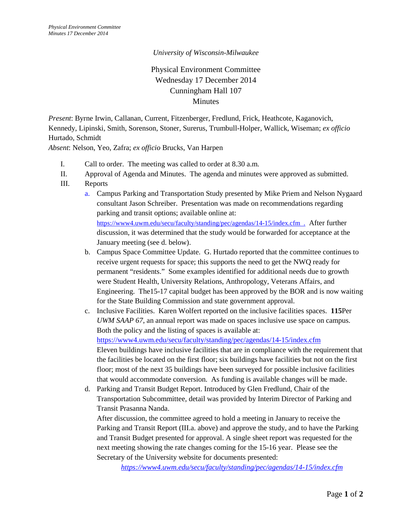## *University of Wisconsin-Milwaukee*

## Physical Environment Committee Wednesday 17 December 2014 Cunningham Hall 107 Minutes

*Present*: Byrne Irwin, Callanan, Current, Fitzenberger, Fredlund, Frick, Heathcote, Kaganovich, Kennedy, Lipinski, Smith, Sorenson, Stoner, Surerus, Trumbull-Holper, Wallick, Wiseman; *ex officio* Hurtado, Schmidt

*Absent*: Nelson, Yeo, Zafra; *ex officio* Brucks, Van Harpen

- I. Call to order. The meeting was called to order at 8.30 a.m.
- II. Approval of Agenda and Minutes. The agenda and minutes were approved as submitted.
- III. Reports
	- a. Campus Parking and Transportation Study presented by Mike Priem and Nelson Nygaard consultant Jason Schreiber. Presentation was made on recommendations regarding parking and transit options; available online at: <https://www4.uwm.edu/secu/faculty/standing/pec/agendas/14-15/index.cfm>. After further discussion, it was determined that the study would be forwarded for acceptance at the January meeting (see d. below).
	- b. Campus Space Committee Update. G. Hurtado reported that the committee continues to receive urgent requests for space; this supports the need to get the NWQ ready for permanent "residents." Some examples identified for additional needs due to growth were Student Health, University Relations, Anthropology, Veterans Affairs, and Engineering. The15-17 capital budget has been approved by the BOR and is now waiting for the State Building Commission and state government approval.
	- c. Inclusive Facilities. Karen Wolfert reported on the inclusive facilities spaces. **115**Per *UWM SAAP 67*, an annual report was made on spaces inclusive use space on campus. Both the policy and the listing of spaces is available at: <https://www4.uwm.edu/secu/faculty/standing/pec/agendas/14-15/index.cfm> Eleven buildings have inclusive facilities that are in compliance with the requirement that the facilities be located on the first floor; six buildings have facilities but not on the first floor; most of the next 35 buildings have been surveyed for possible inclusive facilities that would accommodate conversion. As funding is available changes will be made.
	- d. Parking and Transit Budget Report. Introduced by Glen Fredlund, Chair of the Transportation Subcommittee, detail was provided by Interim Director of Parking and Transit Prasanna Nanda.

After discussion, the committee agreed to hold a meeting in January to receive the Parking and Transit Report (III.a. above) and approve the study, and to have the Parking and Transit Budget presented for approval. A single sheet report was requested for the next meeting showing the rate changes coming for the 15-16 year. Please see the Secretary of the University website for documents presented:

*<https://www4.uwm.edu/secu/faculty/standing/pec/agendas/14-15/index.cfm>*